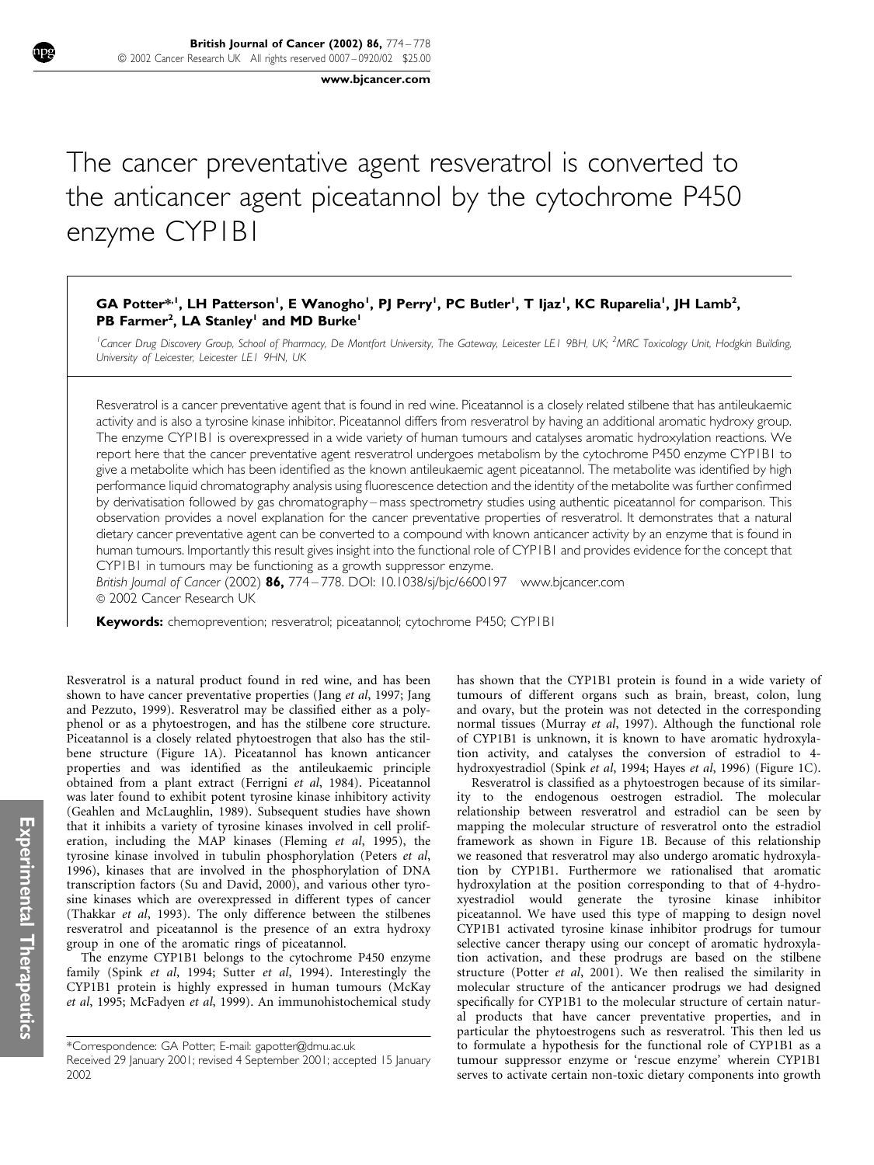www.bjcancer.com

# The cancer preventative agent resveratrol is converted to the anticancer agent piceatannol by the cytochrome P450 enzyme CYP1B1

# GA Potter\*<sup>, 1</sup>, LH Patterson<sup>1</sup>, E Wanogho<sup>1</sup>, PJ Perry<sup>1</sup>, PC Butler<sup>1</sup>, T Ijaz<sup>1</sup>, KC Ruparelia<sup>1</sup>, JH Lamb<sup>2</sup>, PB Farmer<sup>2</sup>, LA Stanley<sup>1</sup> and MD Burke<sup>1</sup>

<sup>1</sup>Cancer Drug Discovery Group, School of Pharmacy, De Montfort University, The Gateway, Leicester LE1 9BH, UK; <sup>2</sup>MRC Toxicology Unit, Hodgkin Building, University of Leicester, Leicester LE1 9HN, UK

Resveratrol is a cancer preventative agent that is found in red wine. Piceatannol is a closely related stilbene that has antileukaemic activity and is also a tyrosine kinase inhibitor. Piceatannol differs from resveratrol by having an additional aromatic hydroxy group. The enzyme CYP1B1 is overexpressed in a wide variety of human tumours and catalyses aromatic hydroxylation reactions. We report here that the cancer preventative agent resveratrol undergoes metabolism by the cytochrome P450 enzyme CYP1B1 to give a metabolite which has been identified as the known antileukaemic agent piceatannol. The metabolite was identified by high performance liquid chromatography analysis using fluorescence detection and the identity of the metabolite was further confirmed by derivatisation followed by gas chromatography – mass spectrometry studies using authentic piceatannol for comparison. This observation provides a novel explanation for the cancer preventative properties of resveratrol. It demonstrates that a natural dietary cancer preventative agent can be converted to a compound with known anticancer activity by an enzyme that is found in human tumours. Importantly this result gives insight into the functional role of CYP1B1 and provides evidence for the concept that CYP1B1 in tumours may be functioning as a growth suppressor enzyme.

British Journal of Cancer (2002) 86, 774 – 778. DOI:  $10.1038$ /sj/bjc/6600197 www.bjcancer.com © 2002 Cancer Research UK

Keywords: chemoprevention; resveratrol; piceatannol; cytochrome P450; CYP1B1

Resveratrol is a natural product found in red wine, and has been shown to have cancer preventative properties (Jang et al, 1997; Jang and Pezzuto, 1999). Resveratrol may be classified either as a polyphenol or as a phytoestrogen, and has the stilbene core structure. Piceatannol is a closely related phytoestrogen that also has the stilbene structure (Figure 1A). Piceatannol has known anticancer properties and was identified as the antileukaemic principle obtained from a plant extract (Ferrigni et al, 1984). Piceatannol was later found to exhibit potent tyrosine kinase inhibitory activity (Geahlen and McLaughlin, 1989). Subsequent studies have shown that it inhibits a variety of tyrosine kinases involved in cell proliferation, including the MAP kinases (Fleming et al, 1995), the tyrosine kinase involved in tubulin phosphorylation (Peters et al, 1996), kinases that are involved in the phosphorylation of DNA transcription factors (Su and David, 2000), and various other tyrosine kinases which are overexpressed in different types of cancer (Thakkar et al, 1993). The only difference between the stilbenes resveratrol and piceatannol is the presence of an extra hydroxy group in one of the aromatic rings of piceatannol.

The enzyme CYP1B1 belongs to the cytochrome P450 enzyme family (Spink et al, 1994; Sutter et al, 1994). Interestingly the CYP1B1 protein is highly expressed in human tumours (McKay et al, 1995; McFadyen et al, 1999). An immunohistochemical study

\*Correspondence: GA Potter; E-mail: gapotter@dmu.ac.uk

has shown that the CYP1B1 protein is found in a wide variety of tumours of different organs such as brain, breast, colon, lung and ovary, but the protein was not detected in the corresponding normal tissues (Murray et al, 1997). Although the functional role of CYP1B1 is unknown, it is known to have aromatic hydroxylation activity, and catalyses the conversion of estradiol to 4 hydroxyestradiol (Spink et al, 1994; Hayes et al, 1996) (Figure 1C).

Resveratrol is classified as a phytoestrogen because of its similarity to the endogenous oestrogen estradiol. The molecular relationship between resveratrol and estradiol can be seen by mapping the molecular structure of resveratrol onto the estradiol framework as shown in Figure 1B. Because of this relationship we reasoned that resveratrol may also undergo aromatic hydroxylation by CYP1B1. Furthermore we rationalised that aromatic hydroxylation at the position corresponding to that of 4-hydroxyestradiol would generate the tyrosine kinase inhibitor piceatannol. We have used this type of mapping to design novel CYP1B1 activated tyrosine kinase inhibitor prodrugs for tumour selective cancer therapy using our concept of aromatic hydroxylation activation, and these prodrugs are based on the stilbene structure (Potter et al, 2001). We then realised the similarity in molecular structure of the anticancer prodrugs we had designed specifically for CYP1B1 to the molecular structure of certain natural products that have cancer preventative properties, and in particular the phytoestrogens such as resveratrol. This then led us to formulate a hypothesis for the functional role of CYP1B1 as a tumour suppressor enzyme or 'rescue enzyme' wherein CYP1B1 serves to activate certain non-toxic dietary components into growth

Received 29 January 2001; revised 4 September 2001; accepted 15 January 2002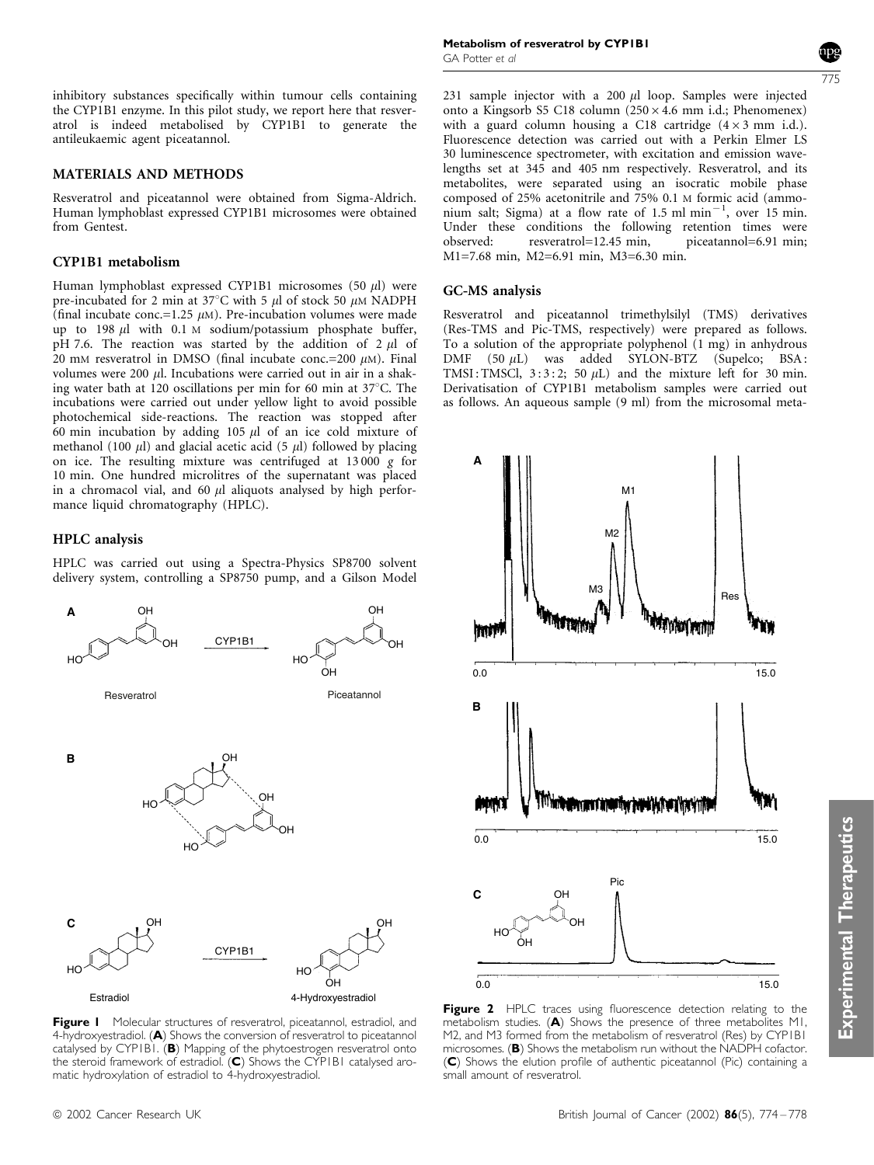inhibitory substances specifically within tumour cells containing the CYP1B1 enzyme. In this pilot study, we report here that resveratrol is indeed metabolised by CYP1B1 to generate the antileukaemic agent piceatannol.

#### MATERIALS AND METHODS

Resveratrol and piceatannol were obtained from Sigma-Aldrich. Human lymphoblast expressed CYP1B1 microsomes were obtained from Gentest.

#### CYP1B1 metabolism

Human lymphoblast expressed CYP1B1 microsomes (50  $\mu$ l) were pre-incubated for 2 min at 37°C with 5  $\mu$ l of stock 50  $\mu$ M NADPH (final incubate conc.=1.25  $\mu$ M). Pre-incubation volumes were made up to 198  $\mu$ l with 0.1 M sodium/potassium phosphate buffer, pH 7.6. The reaction was started by the addition of 2  $\mu$ l of 20 mM resveratrol in DMSO (final incubate conc.=200  $\mu$ M). Final volumes were 200  $\mu$ l. Incubations were carried out in air in a shaking water bath at 120 oscillations per min for 60 min at  $37^{\circ}$ C. The incubations were carried out under yellow light to avoid possible photochemical side-reactions. The reaction was stopped after 60 min incubation by adding 105  $\mu$ l of an ice cold mixture of methanol (100  $\mu$ ) and glacial acetic acid (5  $\mu$ ) followed by placing on ice. The resulting mixture was centrifuged at 13 000 g for 10 min. One hundred microlitres of the supernatant was placed in a chromacol vial, and 60  $\mu$ l aliquots analysed by high performance liquid chromatography (HPLC).

#### HPLC analysis

HPLC was carried out using a Spectra-Physics SP8700 solvent delivery system, controlling a SP8750 pump, and a Gilson Model



**Figure I** Molecular structures of resveratrol, piceatannol, estradiol, and 4-hydroxyestradiol. (A) Shows the conversion of resveratrol to piceatannol catalysed by CYPIBI. (B) Mapping of the phytoestrogen resveratrol onto the steroid framework of estradiol. (C) Shows the CYP1B1 catalysed aromatic hydroxylation of estradiol to 4-hydroxyestradiol.

Metabolism of resveratrol by CYP1B1 GA Potter et al

775

231 sample injector with a 200  $\mu$ l loop. Samples were injected onto a Kingsorb S5 C18 column  $(250 \times 4.6 \text{ mm } i.d.;$  Phenomenex) with a guard column housing a C18 cartridge  $(4 \times 3 \text{ mm } \text{i.d.})$ . Fluorescence detection was carried out with a Perkin Elmer LS 30 luminescence spectrometer, with excitation and emission wavelengths set at 345 and 405 nm respectively. Resveratrol, and its metabolites, were separated using an isocratic mobile phase composed of 25% acetonitrile and 75% 0.1 M formic acid (ammo- $\min$  salt; Sigma) at a flow rate of 1.5 ml  $\min^{-1}$ , over 15 min. Under these conditions the following retention times were observed: resveratrol=12.45 min, piceatannol=6.91 min; M1=7.68 min, M2=6.91 min, M3=6.30 min.

## GC-MS analysis

Resveratrol and piceatannol trimethylsilyl (TMS) derivatives (Res-TMS and Pic-TMS, respectively) were prepared as follows. To a solution of the appropriate polyphenol (1 mg) in anhydrous DMF (50 µL) was added SYLON-BTZ (Supelco; BSA: TMSI: TMSCl,  $3:3:2$ ; 50  $\mu$ L) and the mixture left for 30 min. Derivatisation of CYP1B1 metabolism samples were carried out as follows. An aqueous sample (9 ml) from the microsomal meta-



Figure 2 HPLC traces using fluorescence detection relating to the metabolism studies. (A) Shows the presence of three metabolites M1, M2, and M3 formed from the metabolism of resveratrol (Res) by CYP1B1 microsomes. (B) Shows the metabolism run without the  $NADPH$  cofactor. (C) Shows the elution profile of authentic piceatannol (Pic) containing a small amount of resveratrol.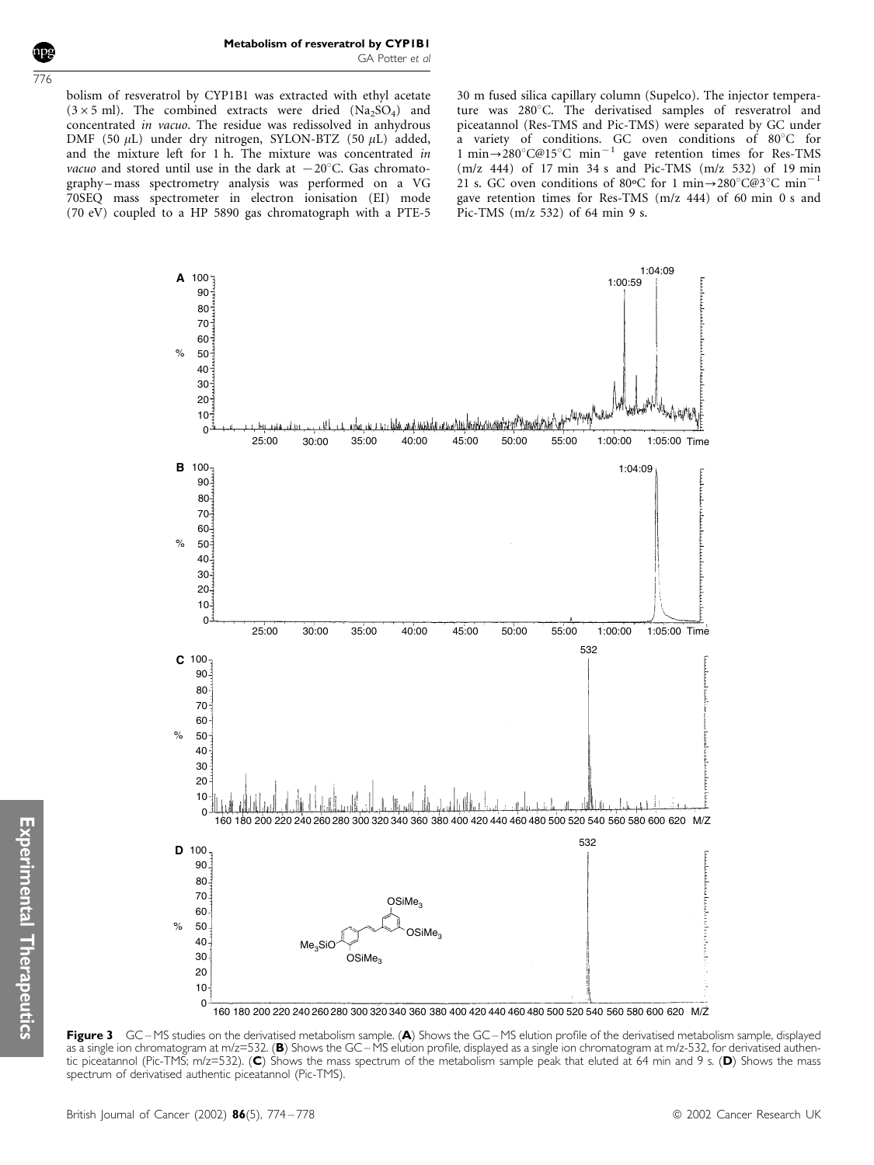concentrated in vacuo. The residue was redissolved in anhydrous DMF (50  $\mu$ L) under dry nitrogen, SYLON-BTZ (50  $\mu$ L) added, and the mixture left for 1 h. The mixture was concentrated in vacuo and stored until use in the dark at  $-20^{\circ}$ C. Gas chromatography – mass spectrometry analysis was performed on a VG 70SEQ mass spectrometer in electron ionisation (EI) mode (70 eV) coupled to a HP 5890 gas chromatograph with a PTE-5

30 m fused silica capillary column (Supelco). The injector temperature was 280°C. The derivatised samples of resveratrol and piceatannol (Res-TMS and Pic-TMS) were separated by GC under a variety of conditions. GC oven conditions of 80°C for 1 min $\rightarrow$ 280°C@15°C min<sup>-1</sup> gave retention times for Res-TMS (m/z 444) of 17 min 34 s and Pic-TMS (m/z 532) of 19 min 21 s. GC oven conditions of 80 °C for 1 min $\rightarrow$ 280 °C@3 °C min<sup>-1</sup> gave retention times for Res-TMS (m/z 444) of 60 min 0 s and Pic-TMS (m/z 532) of 64 min 9 s.

1:04:09 100 **A** 1:00:59 90  $80 -$ 70 60 50  $\frac{1}{2}$ 40 30 20 10 ية المستخدمة المستخدمة المستخدمة المستخدمة المستخدمة المستخدمة المستخدمة المستخدمة المستخدمة المستخدمة المستخدمة<br>25:00 30:00 35:00 40:00 45:00 50:00 55:00 1:00:00 1:05:00 Time<br>25:00 30:00 35:00 40:00 45:00 50:00 55:00 1:0 . til  $\Omega$ 100 **B** 1:04:09 90 80 70 60  $\mathsf{o}_\mathsf{A}$ 50 40 30 20 10  $\Omega$ 25:00 30:00 35:00 40:00 45:00 50:00 55:00 1:00:00 1:05:00 Time 532 100 **C** 90 80 70  $60$  $\frac{1}{2}$ 50 40 30 20 10 0 160 180 200 220 240 260 280 300 320 340 360 380 400 420 440 460 480 500 520 540 560 580 600 620 M/Z 532 100 **D** 90 80 70 OSiMe<sub>3</sub> 60  $O/$ 50  $OSiMe$ 40 Me<sub>2</sub>SiO 30 OSiMe<sub>3</sub> 20 10  $\Omega$ 160 180 200 220 240 260 280 300 320 340 360 380 400 420 440 460 480 500 520 540 560 580 600 620 M/Z

Figure 3 GC-MS studies on the derivatised metabolism sample. (A) Shows the GC-MS elution profile of the derivatised metabolism sample, displayed as a single ion chromatogram at m/z=532. (B) Shows the GC – MS elution profile, displayed as a single ion chromatogram at m/z-532, for derivatised authentic piceatannol (Pic-TMS; m/z=532). (C) Shows the mass spectrum of the metabolism sample peak that eluted at 64 min and 9 s. (D) Shows the mass spectrum of derivatised authentic piceatannol (Pic-TMS).

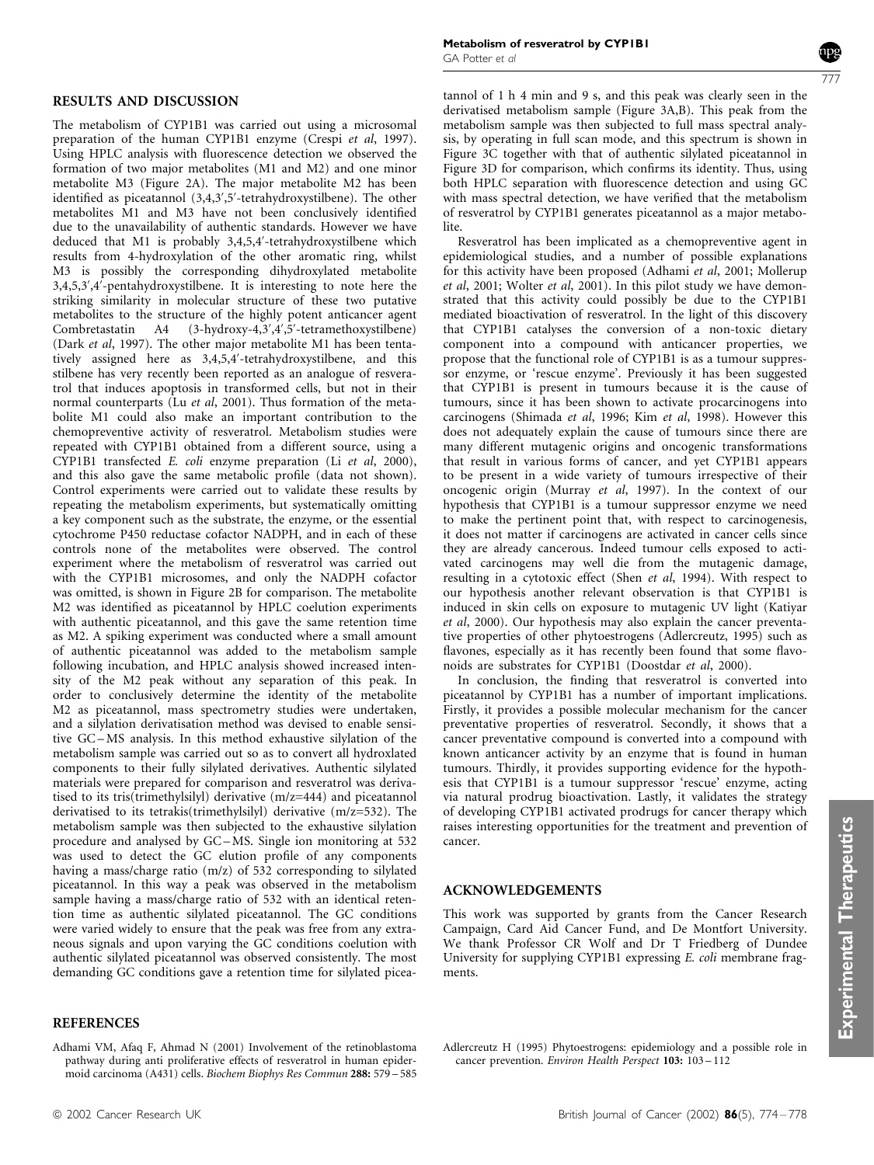## RESULTS AND DISCUSSION

The metabolism of CYP1B1 was carried out using a microsomal preparation of the human CYP1B1 enzyme (Crespi et al, 1997). Using HPLC analysis with fluorescence detection we observed the formation of two major metabolites (M1 and M2) and one minor metabolite M3 (Figure 2A). The major metabolite M2 has been identified as piceatannol (3,4,3',5'-tetrahydroxystilbene). The other metabolites M1 and M3 have not been conclusively identified due to the unavailability of authentic standards. However we have deduced that M1 is probably 3,4,5,4'-tetrahydroxystilbene which results from 4-hydroxylation of the other aromatic ring, whilst M3 is possibly the corresponding dihydroxylated metabolite 3,4,5,3',4'-pentahydroxystilbene. It is interesting to note here the striking similarity in molecular structure of these two putative metabolites to the structure of the highly potent anticancer agent<br>Combretastatin A4 (3-hvdroxy-4.3',4',5'-tetramethoxystilbene)  $(3-hydroxy-4,3',4',5'-tetramethoxystilbene)$ (Dark et al, 1997). The other major metabolite M1 has been tentatively assigned here as 3,4,5,4'-tetrahydroxystilbene, and this stilbene has very recently been reported as an analogue of resveratrol that induces apoptosis in transformed cells, but not in their normal counterparts (Lu et al, 2001). Thus formation of the metabolite M1 could also make an important contribution to the chemopreventive activity of resveratrol. Metabolism studies were repeated with CYP1B1 obtained from a different source, using a CYP1B1 transfected E. coli enzyme preparation (Li et al, 2000), and this also gave the same metabolic profile (data not shown). Control experiments were carried out to validate these results by repeating the metabolism experiments, but systematically omitting a key component such as the substrate, the enzyme, or the essential cytochrome P450 reductase cofactor NADPH, and in each of these controls none of the metabolites were observed. The control experiment where the metabolism of resveratrol was carried out with the CYP1B1 microsomes, and only the NADPH cofactor was omitted, is shown in Figure 2B for comparison. The metabolite M2 was identified as piceatannol by HPLC coelution experiments with authentic piceatannol, and this gave the same retention time as M2. A spiking experiment was conducted where a small amount of authentic piceatannol was added to the metabolism sample following incubation, and HPLC analysis showed increased intensity of the M2 peak without any separation of this peak. In order to conclusively determine the identity of the metabolite M2 as piceatannol, mass spectrometry studies were undertaken, and a silylation derivatisation method was devised to enable sensitive GC – MS analysis. In this method exhaustive silylation of the metabolism sample was carried out so as to convert all hydroxlated components to their fully silylated derivatives. Authentic silylated materials were prepared for comparison and resveratrol was derivatised to its tris(trimethylsilyl) derivative (m/z=444) and piceatannol derivatised to its tetrakis(trimethylsilyl) derivative (m/z=532). The metabolism sample was then subjected to the exhaustive silylation procedure and analysed by GC – MS. Single ion monitoring at 532 was used to detect the GC elution profile of any components having a mass/charge ratio (m/z) of 532 corresponding to silylated piceatannol. In this way a peak was observed in the metabolism sample having a mass/charge ratio of 532 with an identical retention time as authentic silylated piceatannol. The GC conditions were varied widely to ensure that the peak was free from any extraneous signals and upon varying the GC conditions coelution with authentic silylated piceatannol was observed consistently. The most demanding GC conditions gave a retention time for silylated picea-

#### REFERENCES

Adhami VM, Afaq F, Ahmad N (2001) Involvement of the retinoblastoma pathway during anti proliferative effects of resveratrol in human epidermoid carcinoma (A431) cells. Biochem Biophys Res Commun 288: 579 – 585 777

tannol of 1 h 4 min and 9 s, and this peak was clearly seen in the derivatised metabolism sample (Figure 3A,B). This peak from the metabolism sample was then subjected to full mass spectral analysis, by operating in full scan mode, and this spectrum is shown in Figure 3C together with that of authentic silylated piceatannol in Figure 3D for comparison, which confirms its identity. Thus, using both HPLC separation with fluorescence detection and using GC with mass spectral detection, we have verified that the metabolism of resveratrol by CYP1B1 generates piceatannol as a major metabolite.

Resveratrol has been implicated as a chemopreventive agent in epidemiological studies, and a number of possible explanations for this activity have been proposed (Adhami et al, 2001; Mollerup et al, 2001; Wolter et al, 2001). In this pilot study we have demonstrated that this activity could possibly be due to the CYP1B1 mediated bioactivation of resveratrol. In the light of this discovery that CYP1B1 catalyses the conversion of a non-toxic dietary component into a compound with anticancer properties, we propose that the functional role of CYP1B1 is as a tumour suppressor enzyme, or 'rescue enzyme'. Previously it has been suggested that CYP1B1 is present in tumours because it is the cause of tumours, since it has been shown to activate procarcinogens into carcinogens (Shimada et al, 1996; Kim et al, 1998). However this does not adequately explain the cause of tumours since there are many different mutagenic origins and oncogenic transformations that result in various forms of cancer, and yet CYP1B1 appears to be present in a wide variety of tumours irrespective of their oncogenic origin (Murray et al, 1997). In the context of our hypothesis that CYP1B1 is a tumour suppressor enzyme we need to make the pertinent point that, with respect to carcinogenesis, it does not matter if carcinogens are activated in cancer cells since they are already cancerous. Indeed tumour cells exposed to activated carcinogens may well die from the mutagenic damage, resulting in a cytotoxic effect (Shen et al, 1994). With respect to our hypothesis another relevant observation is that CYP1B1 is induced in skin cells on exposure to mutagenic UV light (Katiyar et al, 2000). Our hypothesis may also explain the cancer preventative properties of other phytoestrogens (Adlercreutz, 1995) such as flavones, especially as it has recently been found that some flavonoids are substrates for CYP1B1 (Doostdar et al, 2000).

In conclusion, the finding that resveratrol is converted into piceatannol by CYP1B1 has a number of important implications. Firstly, it provides a possible molecular mechanism for the cancer preventative properties of resveratrol. Secondly, it shows that a cancer preventative compound is converted into a compound with known anticancer activity by an enzyme that is found in human tumours. Thirdly, it provides supporting evidence for the hypothesis that CYP1B1 is a tumour suppressor 'rescue' enzyme, acting via natural prodrug bioactivation. Lastly, it validates the strategy of developing CYP1B1 activated prodrugs for cancer therapy which raises interesting opportunities for the treatment and prevention of cancer.

## ACKNOWLEDGEMENTS

This work was supported by grants from the Cancer Research Campaign, Card Aid Cancer Fund, and De Montfort University. We thank Professor CR Wolf and Dr T Friedberg of Dundee University for supplying CYP1B1 expressing E. coli membrane fragments.

Adlercreutz H (1995) Phytoestrogens: epidemiology and a possible role in cancer prevention. Environ Health Perspect 103: 103-112